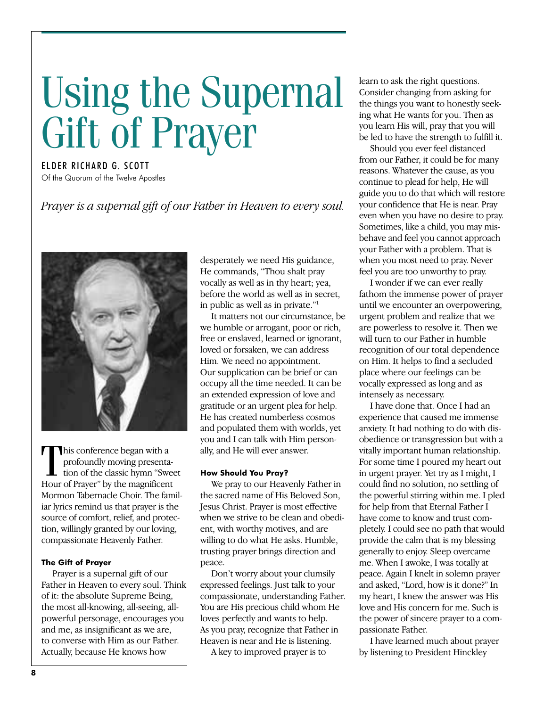# Using the Supernal Gift of Prayer

ELDER RICHARD G. SCOTT Of the Quorum of the Twelve Apostles

*Prayer is a supernal gift of our Father in Heaven to every soul.*



This conference began with a<br>profoundly moving presenta-<br>tion of the classic hymn "Swe<br>Hour of Prayer" by the magnificent his conference began with a profoundly moving presentation of the classic hymn "Sweet Mormon Tabernacle Choir. The familiar lyrics remind us that prayer is the source of comfort, relief, and protection, willingly granted by our loving, compassionate Heavenly Father.

# **The Gift of Prayer**

Prayer is a supernal gift of our Father in Heaven to every soul. Think of it: the absolute Supreme Being, the most all-knowing, all-seeing, allpowerful personage, encourages you and me, as insignificant as we are, to converse with Him as our Father. Actually, because He knows how

desperately we need His guidance, He commands, "Thou shalt pray vocally as well as in thy heart; yea, before the world as well as in secret, in public as well as in private."1

It matters not our circumstance, be we humble or arrogant, poor or rich, free or enslaved, learned or ignorant, loved or forsaken, we can address Him. We need no appointment. Our supplication can be brief or can occupy all the time needed. It can be an extended expression of love and gratitude or an urgent plea for help. He has created numberless cosmos and populated them with worlds, yet you and I can talk with Him personally, and He will ever answer.

## **How Should You Pray?**

We pray to our Heavenly Father in the sacred name of His Beloved Son, Jesus Christ. Prayer is most effective when we strive to be clean and obedient, with worthy motives, and are willing to do what He asks. Humble, trusting prayer brings direction and peace.

Don't worry about your clumsily expressed feelings. Just talk to your compassionate, understanding Father. You are His precious child whom He loves perfectly and wants to help. As you pray, recognize that Father in Heaven is near and He is listening.

A key to improved prayer is to

learn to ask the right questions. Consider changing from asking for the things you want to honestly seeking what He wants for you. Then as you learn His will, pray that you will be led to have the strength to fulfill it.

Should you ever feel distanced from our Father, it could be for many reasons. Whatever the cause, as you continue to plead for help, He will guide you to do that which will restore your confidence that He is near. Pray even when you have no desire to pray. Sometimes, like a child, you may misbehave and feel you cannot approach your Father with a problem. That is when you most need to pray. Never feel you are too unworthy to pray.

I wonder if we can ever really fathom the immense power of prayer until we encounter an overpowering, urgent problem and realize that we are powerless to resolve it. Then we will turn to our Father in humble recognition of our total dependence on Him. It helps to find a secluded place where our feelings can be vocally expressed as long and as intensely as necessary.

I have done that. Once I had an experience that caused me immense anxiety. It had nothing to do with disobedience or transgression but with a vitally important human relationship. For some time I poured my heart out in urgent prayer. Yet try as I might, I could find no solution, no settling of the powerful stirring within me. I pled for help from that Eternal Father I have come to know and trust completely. I could see no path that would provide the calm that is my blessing generally to enjoy. Sleep overcame me. When I awoke, I was totally at peace. Again I knelt in solemn prayer and asked, "Lord, how is it done?" In my heart, I knew the answer was His love and His concern for me. Such is the power of sincere prayer to a compassionate Father.

I have learned much about prayer by listening to President Hinckley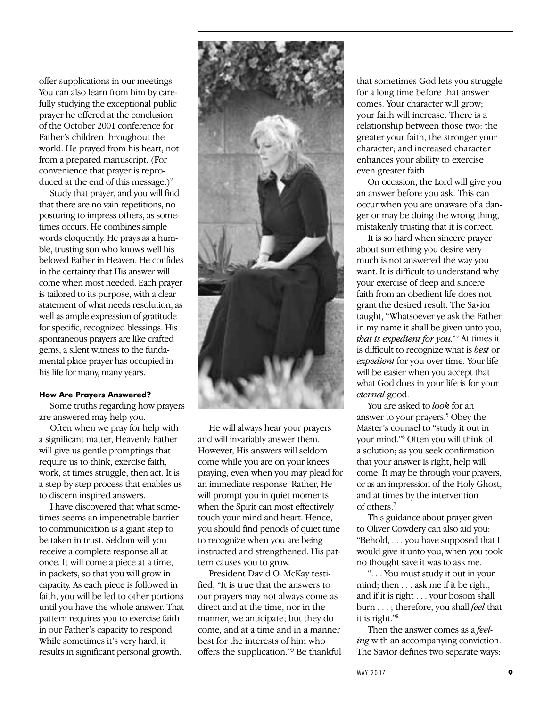offer supplications in our meetings. You can also learn from him by carefully studying the exceptional public prayer he offered at the conclusion of the October 2001 conference for Father's children throughout the world. He prayed from his heart, not from a prepared manuscript. (For convenience that prayer is reproduced at the end of this message. $)^2$ 

Study that prayer, and you will find that there are no vain repetitions, no posturing to impress others, as sometimes occurs. He combines simple words eloquently. He prays as a humble, trusting son who knows well his beloved Father in Heaven. He confides in the certainty that His answer will come when most needed. Each prayer is tailored to its purpose, with a clear statement of what needs resolution, as well as ample expression of gratitude for specific, recognized blessings. His spontaneous prayers are like crafted gems, a silent witness to the fundamental place prayer has occupied in his life for many, many years.

## **How Are Prayers Answered?**

Some truths regarding how prayers are answered may help you.

Often when we pray for help with a significant matter, Heavenly Father will give us gentle promptings that require us to think, exercise faith, work, at times struggle, then act. It is a step-by-step process that enables us to discern inspired answers.

I have discovered that what sometimes seems an impenetrable barrier to communication is a giant step to be taken in trust. Seldom will you receive a complete response all at once. It will come a piece at a time, in packets, so that you will grow in capacity. As each piece is followed in faith, you will be led to other portions until you have the whole answer. That pattern requires you to exercise faith in our Father's capacity to respond. While sometimes it's very hard, it results in significant personal growth.



He will always hear your prayers and will invariably answer them. However, His answers will seldom come while you are on your knees praying, even when you may plead for an immediate response. Rather, He will prompt you in quiet moments when the Spirit can most effectively touch your mind and heart. Hence, you should find periods of quiet time to recognize when you are being instructed and strengthened. His pattern causes you to grow.

President David O. McKay testified, "It is true that the answers to our prayers may not always come as direct and at the time, nor in the manner, we anticipate; but they do come, and at a time and in a manner best for the interests of him who offers the supplication."3 Be thankful that sometimes God lets you struggle for a long time before that answer comes. Your character will grow; your faith will increase. There is a relationship between those two: the greater your faith, the stronger your character; and increased character enhances your ability to exercise even greater faith.

On occasion, the Lord will give you an answer before you ask. This can occur when you are unaware of a danger or may be doing the wrong thing, mistakenly trusting that it is correct.

It is so hard when sincere prayer about something you desire very much is not answered the way you want. It is difficult to understand why your exercise of deep and sincere faith from an obedient life does not grant the desired result. The Savior taught, "Whatsoever ye ask the Father in my name it shall be given unto you, *that is expedient for you."<sup>4</sup> At times it* is difficult to recognize what is *best* or *expedient* for you over time. Your life will be easier when you accept that what God does in your life is for your *eternal* good.

You are asked to *look* for an answer to your prayers.5 Obey the Master's counsel to "study it out in your mind."6 Often you will think of a solution; as you seek confirmation that your answer is right, help will come. It may be through your prayers, or as an impression of the Holy Ghost, and at times by the intervention of others.7

This guidance about prayer given to Oliver Cowdery can also aid you: "Behold, . . . you have supposed that I would give it unto you, when you took no thought save it was to ask me.

". . . You must study it out in your mind; then . . . ask me if it be right, and if it is right . . . your bosom shall burn . . . ; therefore, you shall *feel* that it is right."8

Then the answer comes as a *feeling* with an accompanying conviction. The Savior defines two separate ways: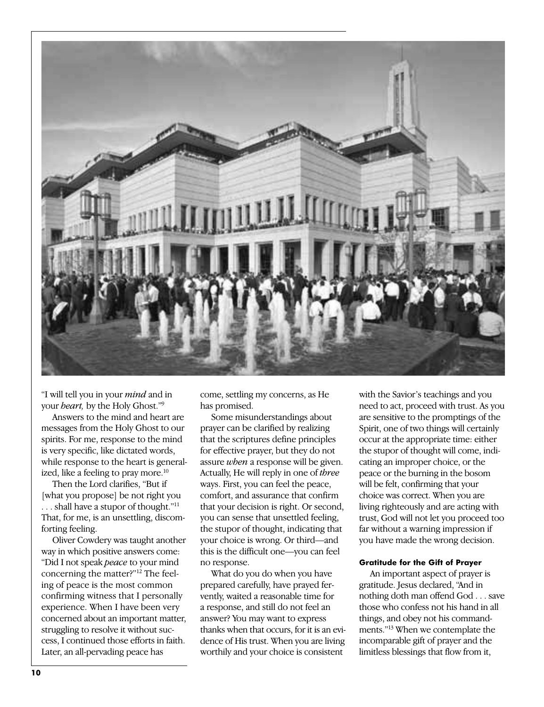

"I will tell you in your *mind* and in your *heart,* by the Holy Ghost."9

Answers to the mind and heart are messages from the Holy Ghost to our spirits. For me, response to the mind is very specific, like dictated words, while response to the heart is generalized, like a feeling to pray more.<sup>10</sup>

Then the Lord clarifies, "But if [what you propose] be not right you . . . shall have a stupor of thought."11 That, for me, is an unsettling, discomforting feeling.

Oliver Cowdery was taught another way in which positive answers come: "Did I not speak *peace* to your mind concerning the matter?"12 The feeling of peace is the most common confirming witness that I personally experience. When I have been very concerned about an important matter, struggling to resolve it without success, I continued those efforts in faith. Later, an all-pervading peace has

come, settling my concerns, as He has promised.

Some misunderstandings about prayer can be clarified by realizing that the scriptures define principles for effective prayer, but they do not assure *when* a response will be given. Actually, He will reply in one of *three* ways. First, you can feel the peace, comfort, and assurance that confirm that your decision is right. Or second, you can sense that unsettled feeling, the stupor of thought, indicating that your choice is wrong. Or third—and this is the difficult one—you can feel no response.

What do you do when you have prepared carefully, have prayed fervently, waited a reasonable time for a response, and still do not feel an answer? You may want to express thanks when that occurs, for it is an evidence of His trust. When you are living worthily and your choice is consistent

with the Savior's teachings and you need to act, proceed with trust. As you are sensitive to the promptings of the Spirit, one of two things will certainly occur at the appropriate time: either the stupor of thought will come, indicating an improper choice, or the peace or the burning in the bosom will be felt, confirming that your choice was correct. When you are living righteously and are acting with trust, God will not let you proceed too far without a warning impression if you have made the wrong decision.

#### **Gratitude for the Gift of Prayer**

An important aspect of prayer is gratitude. Jesus declared, "And in nothing doth man offend God . . . save those who confess not his hand in all things, and obey not his commandments."13 When we contemplate the incomparable gift of prayer and the limitless blessings that flow from it,